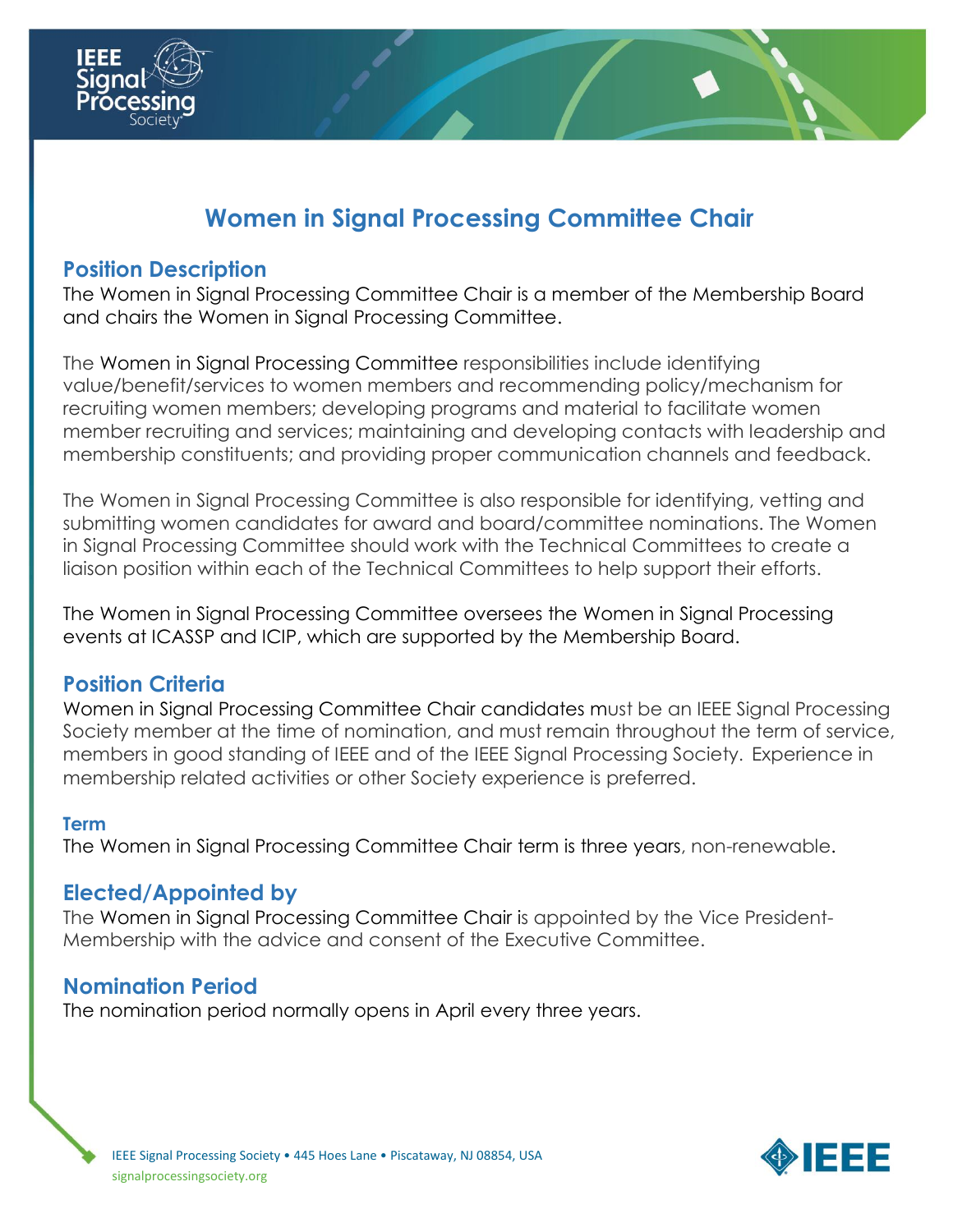

# **Women in Signal Processing Committee Chair**

# **Position Description**

The Women in Signal Processing Committee Chair is a member of the Membership Board and chairs the Women in Signal Processing Committee.

The Women in Signal Processing Committee responsibilities include identifying value/benefit/services to women members and recommending policy/mechanism for recruiting women members; developing programs and material to facilitate women member recruiting and services; maintaining and developing contacts with leadership and membership constituents; and providing proper communication channels and feedback.

The Women in Signal Processing Committee is also responsible for identifying, vetting and submitting women candidates for award and board/committee nominations. The Women in Signal Processing Committee should work with the Technical Committees to create a liaison position within each of the Technical Committees to help support their efforts.

The Women in Signal Processing Committee oversees the Women in Signal Processing events at ICASSP and ICIP, which are supported by the Membership Board.

## **Position Criteria**

Women in Signal Processing Committee Chair candidates must be an IEEE Signal Processing Society member at the time of nomination, and must remain throughout the term of service, members in good standing of IEEE and of the IEEE Signal Processing Society. Experience in membership related activities or other Society experience is preferred.

#### **Term**

The Women in Signal Processing Committee Chair term is three years, non-renewable.

#### **Elected/Appointed by**

The Women in Signal Processing Committee Chair is appointed by the Vice President-Membership with the advice and consent of the Executive Committee.

#### **Nomination Period**

The nomination period normally opens in April every three years.